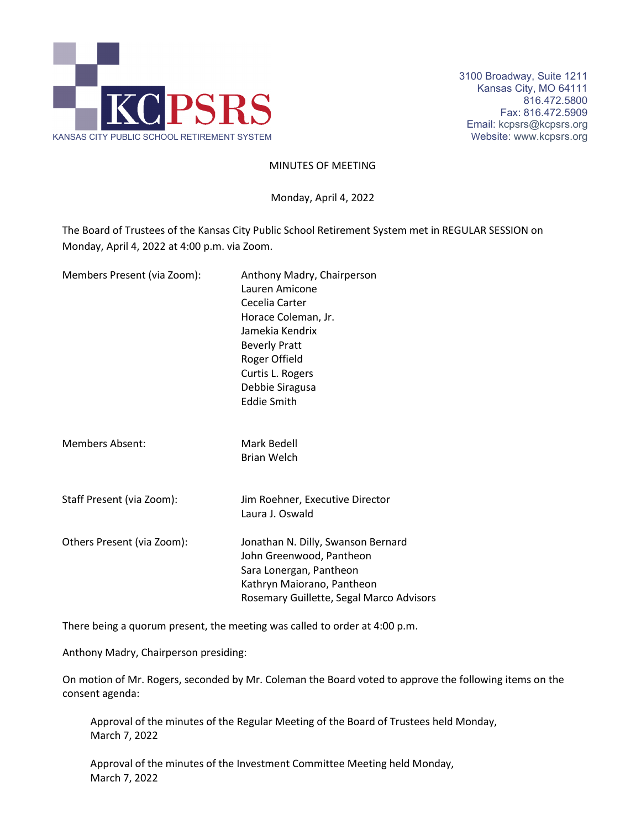

3100 Broadway, Suite 1211 Kansas City, MO 64111 816.472.5800 Fax: 816.472.5909 Email: kcpsrs@kcpsrs.org

MINUTES OF MEETING

Monday, April 4, 2022

The Board of Trustees of the Kansas City Public School Retirement System met in REGULAR SESSION on Monday, April 4, 2022 at 4:00 p.m. via Zoom.

| Members Present (via Zoom): | Anthony Madry, Chairperson<br>Lauren Amicone<br>Cecelia Carter<br>Horace Coleman, Jr.<br>Jamekia Kendrix<br><b>Beverly Pratt</b><br>Roger Offield<br>Curtis L. Rogers<br>Debbie Siragusa<br><b>Eddie Smith</b> |
|-----------------------------|----------------------------------------------------------------------------------------------------------------------------------------------------------------------------------------------------------------|
| <b>Members Absent:</b>      | Mark Bedell<br><b>Brian Welch</b>                                                                                                                                                                              |
| Staff Present (via Zoom):   | Jim Roehner, Executive Director<br>Laura J. Oswald                                                                                                                                                             |
| Others Present (via Zoom):  | Jonathan N. Dilly, Swanson Bernard<br>John Greenwood, Pantheon<br>Sara Lonergan, Pantheon<br>Kathryn Maiorano, Pantheon<br>Rosemary Guillette, Segal Marco Advisors                                            |

There being a quorum present, the meeting was called to order at 4:00 p.m.

Anthony Madry, Chairperson presiding:

On motion of Mr. Rogers, seconded by Mr. Coleman the Board voted to approve the following items on the consent agenda:

Approval of the minutes of the Regular Meeting of the Board of Trustees held Monday, March 7, 2022

Approval of the minutes of the Investment Committee Meeting held Monday, March 7, 2022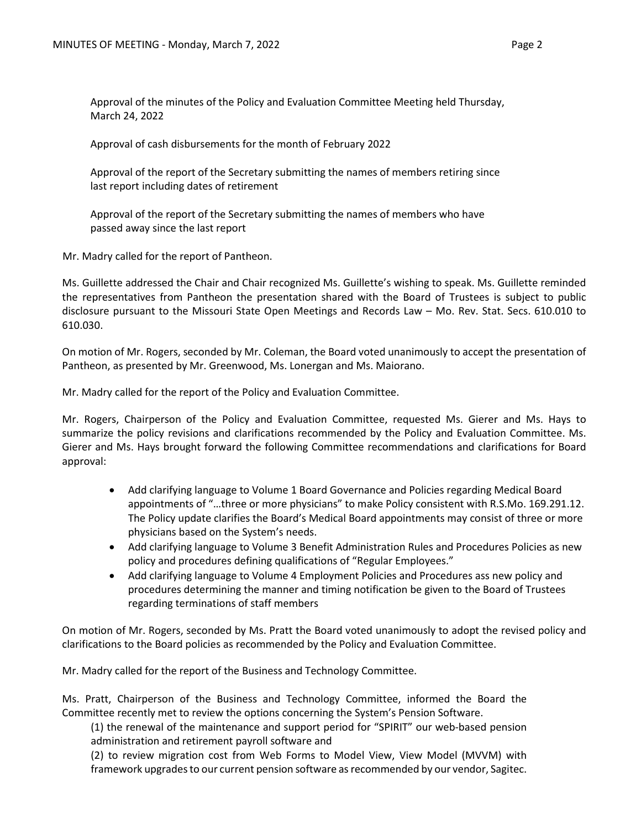Approval of the minutes of the Policy and Evaluation Committee Meeting held Thursday, March 24, 2022

Approval of cash disbursements for the month of February 2022

Approval of the report of the Secretary submitting the names of members retiring since last report including dates of retirement

Approval of the report of the Secretary submitting the names of members who have passed away since the last report

Mr. Madry called for the report of Pantheon.

Ms. Guillette addressed the Chair and Chair recognized Ms. Guillette's wishing to speak. Ms. Guillette reminded the representatives from Pantheon the presentation shared with the Board of Trustees is subject to public disclosure pursuant to the Missouri State Open Meetings and Records Law – Mo. Rev. Stat. Secs. 610.010 to 610.030.

On motion of Mr. Rogers, seconded by Mr. Coleman, the Board voted unanimously to accept the presentation of Pantheon, as presented by Mr. Greenwood, Ms. Lonergan and Ms. Maiorano.

Mr. Madry called for the report of the Policy and Evaluation Committee.

Mr. Rogers, Chairperson of the Policy and Evaluation Committee, requested Ms. Gierer and Ms. Hays to summarize the policy revisions and clarifications recommended by the Policy and Evaluation Committee. Ms. Gierer and Ms. Hays brought forward the following Committee recommendations and clarifications for Board approval:

- Add clarifying language to Volume 1 Board Governance and Policies regarding Medical Board appointments of "…three or more physicians" to make Policy consistent with R.S.Mo. 169.291.12. The Policy update clarifies the Board's Medical Board appointments may consist of three or more physicians based on the System's needs.
- Add clarifying language to Volume 3 Benefit Administration Rules and Procedures Policies as new policy and procedures defining qualifications of "Regular Employees."
- Add clarifying language to Volume 4 Employment Policies and Procedures ass new policy and procedures determining the manner and timing notification be given to the Board of Trustees regarding terminations of staff members

On motion of Mr. Rogers, seconded by Ms. Pratt the Board voted unanimously to adopt the revised policy and clarifications to the Board policies as recommended by the Policy and Evaluation Committee.

Mr. Madry called for the report of the Business and Technology Committee.

Ms. Pratt, Chairperson of the Business and Technology Committee, informed the Board the Committee recently met to review the options concerning the System's Pension Software.

(1) the renewal of the maintenance and support period for "SPIRIT" our web-based pension administration and retirement payroll software and

(2) to review migration cost from Web Forms to Model View, View Model (MVVM) with framework upgrades to our current pension software as recommended by our vendor, Sagitec.